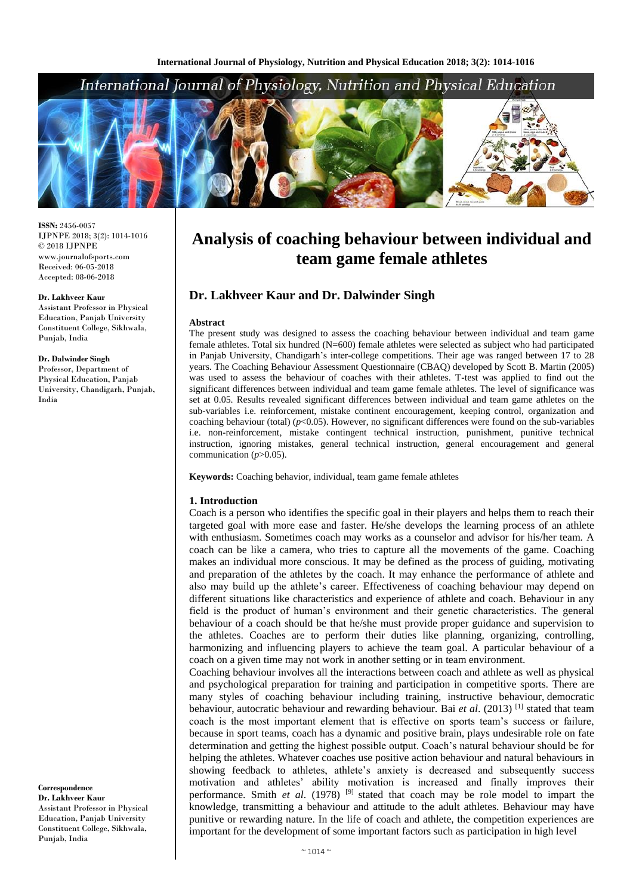# International Journal of Physiology, Nutrition and Physical Education



**ISSN:** 2456-0057 IJPNPE 2018; 3(2): 1014-1016  $\odot$  2018 IJPNPE www.journalofsports.com Received: 06-05-2018 Accepted: 08-06-2018

#### **Dr. Lakhveer Kaur**

Assistant Professor in Physical Education, Panjab University Constituent College, Sikhwala, Punjab, India

#### **Dr. Dalwinder Singh**

Professor, Department of Physical Education, Panjab University, Chandigarh, Punjab, India

**Correspondence Dr. Lakhveer Kaur** Assistant Professor in Physical Education, Panjab University Constituent College, Sikhwala, Punjab, India

# **Analysis of coaching behaviour between individual and team game female athletes**

# **Dr. Lakhveer Kaur and Dr. Dalwinder Singh**

#### **Abstract**

The present study was designed to assess the coaching behaviour between individual and team game female athletes. Total six hundred (N=600) female athletes were selected as subject who had participated in Panjab University, Chandigarh's inter-college competitions. Their age was ranged between 17 to 28 years. The Coaching Behaviour Assessment Questionnaire (CBAQ) developed by Scott B. Martin (2005) was used to assess the behaviour of coaches with their athletes. T-test was applied to find out the significant differences between individual and team game female athletes. The level of significance was set at 0.05. Results revealed significant differences between individual and team game athletes on the sub-variables i.e. reinforcement, mistake continent encouragement, keeping control, organization and coaching behaviour (total) (*p*<0.05). However, no significant differences were found on the sub-variables i.e. non-reinforcement, mistake contingent technical instruction, punishment, punitive technical instruction, ignoring mistakes, general technical instruction, general encouragement and general communication (*p*>0.05).

**Keywords:** Coaching behavior, individual, team game female athletes

#### **1. Introduction**

Coach is a person who identifies the specific goal in their players and helps them to reach their targeted goal with more ease and faster. He/she develops the learning process of an athlete with enthusiasm. Sometimes coach may works as a counselor and advisor for his/her team. A coach can be like a camera, who tries to capture all the movements of the game. Coaching makes an individual more conscious. It may be defined as the process of guiding, motivating and preparation of the athletes by the coach. It may enhance the performance of athlete and also may build up the athlete's career. Effectiveness of coaching behaviour may depend on different situations like characteristics and experience of athlete and coach. Behaviour in any field is the product of human's environment and their genetic characteristics. The general behaviour of a coach should be that he/she must provide proper guidance and supervision to the athletes. Coaches are to perform their duties like planning, organizing, controlling, harmonizing and influencing players to achieve the team goal. A particular behaviour of a coach on a given time may not work in another setting or in team environment.

Coaching behaviour involves all the interactions between coach and athlete as well as physical and psychological preparation for training and participation in competitive sports. There are many styles of coaching behaviour including training, instructive behaviour, democratic behaviour, autocratic behaviour and rewarding behaviour. Bai *et al*. (2013) [1] stated that team coach is the most important element that is effective on sports team's success or failure, because in sport teams, coach has a dynamic and positive brain, plays undesirable role on fate determination and getting the highest possible output. Coach's natural behaviour should be for helping the athletes. Whatever coaches use positive action behaviour and natural behaviours in showing feedback to athletes, athlete's anxiety is decreased and subsequently success motivation and athletes' ability motivation is increased and finally improves their performance. Smith *et al*. (1978) [9] stated that coach may be role model to impart the knowledge, transmitting a behaviour and attitude to the adult athletes. Behaviour may have punitive or rewarding nature. In the life of coach and athlete, the competition experiences are important for the development of some important factors such as participation in high level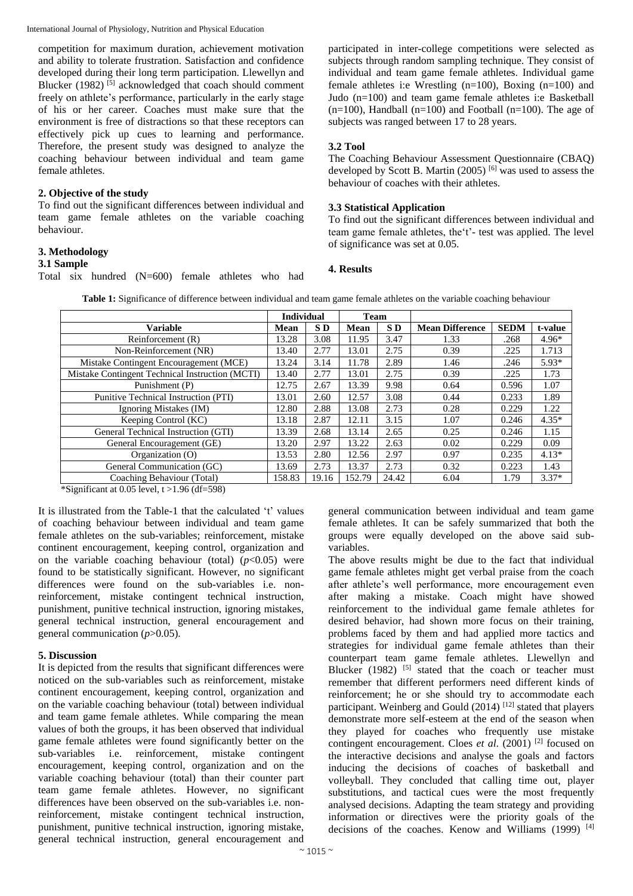International Journal of Physiology, Nutrition and Physical Education

competition for maximum duration, achievement motivation and ability to tolerate frustration. Satisfaction and confidence developed during their long term participation. Llewellyn and Blucker (1982)<sup>[5]</sup> acknowledged that coach should comment freely on athlete's performance, particularly in the early stage of his or her career. Coaches must make sure that the environment is free of distractions so that these receptors can effectively pick up cues to learning and performance. Therefore, the present study was designed to analyze the coaching behaviour between individual and team game female athletes.

#### **2. Objective of the study**

To find out the significant differences between individual and team game female athletes on the variable coaching behaviour.

#### **3. Methodology**

#### **3.1 Sample**

Total six hundred (N=600) female athletes who had

participated in inter-college competitions were selected as subjects through random sampling technique. They consist of individual and team game female athletes. Individual game female athletes i:e Wrestling (n=100), Boxing (n=100) and Judo (n=100) and team game female athletes i:e Basketball  $(n=100)$ , Handball  $(n=100)$  and Football  $(n=100)$ . The age of subjects was ranged between 17 to 28 years.

### **3.2 Tool**

The Coaching Behaviour Assessment Questionnaire (CBAQ) developed by Scott B. Martin (2005)<sup>[6]</sup> was used to assess the behaviour of coaches with their athletes.

#### **3.3 Statistical Application**

To find out the significant differences between individual and team game female athletes, the't'- test was applied. The level of significance was set at 0.05.

#### **4. Results**

**Table 1:** Significance of difference between individual and team game female athletes on the variable coaching behaviour

|                                                 | <b>Individual</b> |                 | <b>Team</b> |                 |                        |             |         |
|-------------------------------------------------|-------------------|-----------------|-------------|-----------------|------------------------|-------------|---------|
| <b>Variable</b>                                 | Mean              | SD <sub>1</sub> | Mean        | SD <sub>D</sub> | <b>Mean Difference</b> | <b>SEDM</b> | t-value |
| Reinforcement (R)                               | 13.28             | 3.08            | 11.95       | 3.47            | 1.33                   | .268        | $4.96*$ |
| Non-Reinforcement (NR)                          | 13.40             | 2.77            | 13.01       | 2.75            | 0.39                   | .225        | 1.713   |
| Mistake Contingent Encouragement (MCE)          | 13.24             | 3.14            | 11.78       | 2.89            | 1.46                   | .246        | $5.93*$ |
| Mistake Contingent Technical Instruction (MCTI) | 13.40             | 2.77            | 13.01       | 2.75            | 0.39                   | .225        | 1.73    |
| Punishment (P)                                  | 12.75             | 2.67            | 13.39       | 9.98            | 0.64                   | 0.596       | 1.07    |
| Punitive Technical Instruction (PTI)            | 13.01             | 2.60            | 12.57       | 3.08            | 0.44                   | 0.233       | 1.89    |
| Ignoring Mistakes (IM)                          | 12.80             | 2.88            | 13.08       | 2.73            | 0.28                   | 0.229       | 1.22    |
| Keeping Control (KC)                            | 13.18             | 2.87            | 12.11       | 3.15            | 1.07                   | 0.246       | $4.35*$ |
| General Technical Instruction (GTI)             | 13.39             | 2.68            | 13.14       | 2.65            | 0.25                   | 0.246       | 1.15    |
| General Encouragement (GE)                      | 13.20             | 2.97            | 13.22       | 2.63            | 0.02                   | 0.229       | 0.09    |
| Organization (O)                                | 13.53             | 2.80            | 12.56       | 2.97            | 0.97                   | 0.235       | $4.13*$ |
| General Communication (GC)                      | 13.69             | 2.73            | 13.37       | 2.73            | 0.32                   | 0.223       | 1.43    |
| Coaching Behaviour (Total)                      | 158.83            | 19.16           | 152.79      | 24.42           | 6.04                   | 1.79        | $3.37*$ |

\*Significant at 0.05 level,  $t > 1.96$  (df=598)

It is illustrated from the Table-1 that the calculated 't' values of coaching behaviour between individual and team game female athletes on the sub-variables; reinforcement, mistake continent encouragement, keeping control, organization and on the variable coaching behaviour (total)  $(p<0.05)$  were found to be statistically significant. However, no significant differences were found on the sub-variables i.e. nonreinforcement, mistake contingent technical instruction, punishment, punitive technical instruction, ignoring mistakes, general technical instruction, general encouragement and general communication (*p*>0.05).

#### **5. Discussion**

It is depicted from the results that significant differences were noticed on the sub-variables such as reinforcement, mistake continent encouragement, keeping control, organization and on the variable coaching behaviour (total) between individual and team game female athletes. While comparing the mean values of both the groups, it has been observed that individual game female athletes were found significantly better on the sub-variables i.e. reinforcement, mistake contingent encouragement, keeping control, organization and on the variable coaching behaviour (total) than their counter part team game female athletes. However, no significant differences have been observed on the sub-variables i.e. nonreinforcement, mistake contingent technical instruction, punishment, punitive technical instruction, ignoring mistake, general technical instruction, general encouragement and

general communication between individual and team game female athletes. It can be safely summarized that both the groups were equally developed on the above said subvariables.

The above results might be due to the fact that individual game female athletes might get verbal praise from the coach after athlete's well performance, more encouragement even after making a mistake. Coach might have showed reinforcement to the individual game female athletes for desired behavior, had shown more focus on their training, problems faced by them and had applied more tactics and strategies for individual game female athletes than their counterpart team game female athletes. Llewellyn and Blucker (1982)  $^{[5]}$  stated that the coach or teacher must remember that different performers need different kinds of reinforcement; he or she should try to accommodate each participant. Weinberg and Gould  $(2014)$ <sup>[12]</sup> stated that players demonstrate more self-esteem at the end of the season when they played for coaches who frequently use mistake contingent encouragement. Cloes *et al*. (2001) [2] focused on the interactive decisions and analyse the goals and factors inducing the decisions of coaches of basketball and volleyball. They concluded that calling time out, player substitutions, and tactical cues were the most frequently analysed decisions. Adapting the team strategy and providing information or directives were the priority goals of the decisions of the coaches. Kenow and Williams (1999)<sup>[4]</sup>